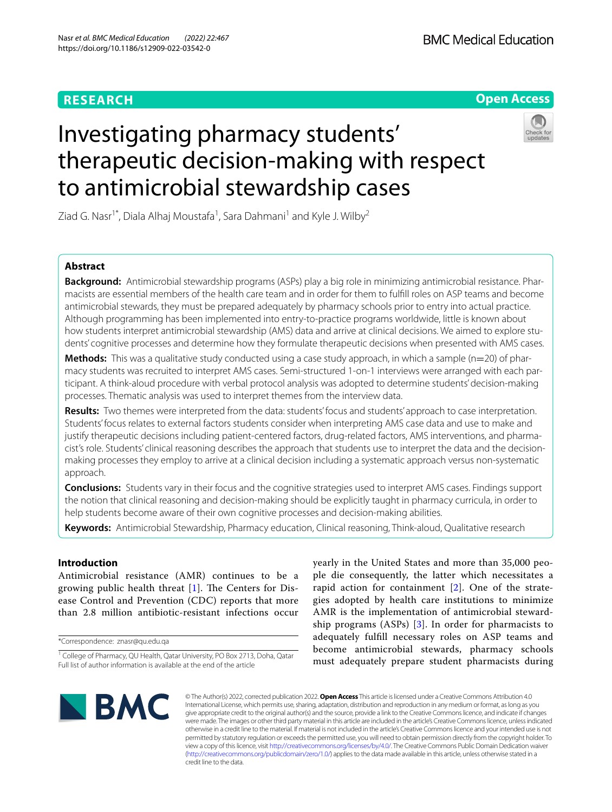# **RESEARCH**

# **Open Access**

# Investigating pharmacy students' therapeutic decision-making with respect to antimicrobial stewardship cases



Ziad G. Nasr<sup>1\*</sup>, Diala Alhaj Moustafa<sup>1</sup>, Sara Dahmani<sup>1</sup> and Kyle J. Wilby<sup>2</sup>

# **Abstract**

**Background:** Antimicrobial stewardship programs (ASPs) play a big role in minimizing antimicrobial resistance. Pharmacists are essential members of the health care team and in order for them to fulfll roles on ASP teams and become antimicrobial stewards, they must be prepared adequately by pharmacy schools prior to entry into actual practice. Although programming has been implemented into entry-to-practice programs worldwide, little is known about how students interpret antimicrobial stewardship (AMS) data and arrive at clinical decisions. We aimed to explore students' cognitive processes and determine how they formulate therapeutic decisions when presented with AMS cases.

**Methods:** This was a qualitative study conducted using a case study approach, in which a sample (n=20) of pharmacy students was recruited to interpret AMS cases. Semi-structured 1-on-1 interviews were arranged with each participant. A think-aloud procedure with verbal protocol analysis was adopted to determine students' decision-making processes. Thematic analysis was used to interpret themes from the interview data.

**Results:** Two themes were interpreted from the data: students' focus and students' approach to case interpretation. Students' focus relates to external factors students consider when interpreting AMS case data and use to make and justify therapeutic decisions including patient-centered factors, drug-related factors, AMS interventions, and pharmacist's role. Students' clinical reasoning describes the approach that students use to interpret the data and the decisionmaking processes they employ to arrive at a clinical decision including a systematic approach versus non-systematic approach.

**Conclusions:** Students vary in their focus and the cognitive strategies used to interpret AMS cases. Findings support the notion that clinical reasoning and decision-making should be explicitly taught in pharmacy curricula, in order to help students become aware of their own cognitive processes and decision-making abilities.

**Keywords:** Antimicrobial Stewardship, Pharmacy education, Clinical reasoning, Think-aloud, Qualitative research

# **Introduction**

Antimicrobial resistance (AMR) continues to be a growing public health threat  $[1]$  $[1]$ . The Centers for Disease Control and Prevention (CDC) reports that more than 2.8 million antibiotic-resistant infections occur

\*Correspondence: znasr@qu.edu.qa

yearly in the United States and more than 35,000 people die consequently, the latter which necessitates a rapid action for containment [\[2](#page-6-1)]. One of the strategies adopted by health care institutions to minimize AMR is the implementation of antimicrobial stewardship programs (ASPs) [[3\]](#page-6-2). In order for pharmacists to adequately fulfll necessary roles on ASP teams and become antimicrobial stewards, pharmacy schools must adequately prepare student pharmacists during



© The Author(s) 2022, corrected publication 2022. **Open Access** This article is licensed under a Creative Commons Attribution 4.0 International License, which permits use, sharing, adaptation, distribution and reproduction in any medium or format, as long as you give appropriate credit to the original author(s) and the source, provide a link to the Creative Commons licence, and indicate if changes were made. The images or other third party material in this article are included in the article's Creative Commons licence, unless indicated otherwise in a credit line to the material. If material is not included in the article's Creative Commons licence and your intended use is not permitted by statutory regulation or exceeds the permitted use, you will need to obtain permission directly from the copyright holder. To view a copy of this licence, visit [http://creativecommons.org/licenses/by/4.0/.](http://creativecommons.org/licenses/by/4.0/) The Creative Commons Public Domain Dedication waiver [\(http://creativecommons.org/publicdomain/zero/1.0/\)](http://creativecommons.org/publicdomain/zero/1.0/) applies to the data made available in this article, unless otherwise stated in a credit line to the data.

<sup>&</sup>lt;sup>1</sup> College of Pharmacy, QU Health, Qatar University, PO Box 2713, Doha, Qatar Full list of author information is available at the end of the article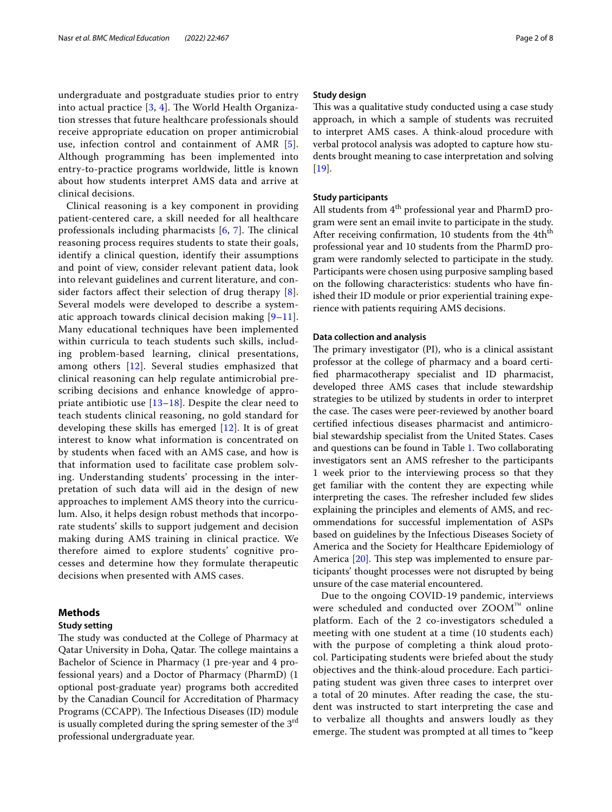undergraduate and postgraduate studies prior to entry into actual practice  $[3, 4]$  $[3, 4]$  $[3, 4]$  $[3, 4]$  $[3, 4]$ . The World Health Organization stresses that future healthcare professionals should receive appropriate education on proper antimicrobial use, infection control and containment of AMR [[5\]](#page-6-4). Although programming has been implemented into entry-to-practice programs worldwide, little is known about how students interpret AMS data and arrive at clinical decisions.

Clinical reasoning is a key component in providing patient-centered care, a skill needed for all healthcare professionals including pharmacists  $[6, 7]$  $[6, 7]$  $[6, 7]$  $[6, 7]$ . The clinical reasoning process requires students to state their goals, identify a clinical question, identify their assumptions and point of view, consider relevant patient data, look into relevant guidelines and current literature, and consider factors affect their selection of drug therapy  $[8]$  $[8]$ . Several models were developed to describe a systematic approach towards clinical decision making  $[9-11]$  $[9-11]$ . Many educational techniques have been implemented within curricula to teach students such skills, including problem-based learning, clinical presentations, among others [\[12](#page-6-10)]. Several studies emphasized that clinical reasoning can help regulate antimicrobial prescribing decisions and enhance knowledge of appropriate antibiotic use [\[13](#page-6-11)[–18\]](#page-7-0). Despite the clear need to teach students clinical reasoning, no gold standard for developing these skills has emerged [[12\]](#page-6-10). It is of great interest to know what information is concentrated on by students when faced with an AMS case, and how is that information used to facilitate case problem solving. Understanding students' processing in the interpretation of such data will aid in the design of new approaches to implement AMS theory into the curriculum. Also, it helps design robust methods that incorporate students' skills to support judgement and decision making during AMS training in clinical practice. We therefore aimed to explore students' cognitive processes and determine how they formulate therapeutic decisions when presented with AMS cases.

# **Methods**

# **Study setting**

The study was conducted at the College of Pharmacy at Qatar University in Doha, Qatar. The college maintains a Bachelor of Science in Pharmacy (1 pre-year and 4 professional years) and a Doctor of Pharmacy (PharmD) (1 optional post-graduate year) programs both accredited by the Canadian Council for Accreditation of Pharmacy Programs (CCAPP). The Infectious Diseases (ID) module is usually completed during the spring semester of the 3<sup>rd</sup> professional undergraduate year.

## **Study design**

This was a qualitative study conducted using a case study approach, in which a sample of students was recruited to interpret AMS cases. A think-aloud procedure with verbal protocol analysis was adopted to capture how students brought meaning to case interpretation and solving [[19\]](#page-7-1).

# **Study participants**

All students from 4<sup>th</sup> professional year and PharmD program were sent an email invite to participate in the study. After receiving confirmation, 10 students from the 4th<sup>th</sup> professional year and 10 students from the PharmD program were randomly selected to participate in the study. Participants were chosen using purposive sampling based on the following characteristics: students who have fnished their ID module or prior experiential training experience with patients requiring AMS decisions.

## **Data collection and analysis**

The primary investigator (PI), who is a clinical assistant professor at the college of pharmacy and a board certifed pharmacotherapy specialist and ID pharmacist, developed three AMS cases that include stewardship strategies to be utilized by students in order to interpret the case. The cases were peer-reviewed by another board certifed infectious diseases pharmacist and antimicrobial stewardship specialist from the United States. Cases and questions can be found in Table [1.](#page-2-0) Two collaborating investigators sent an AMS refresher to the participants 1 week prior to the interviewing process so that they get familiar with the content they are expecting while interpreting the cases. The refresher included few slides explaining the principles and elements of AMS, and recommendations for successful implementation of ASPs based on guidelines by the Infectious Diseases Society of America and the Society for Healthcare Epidemiology of America  $[20]$ . This step was implemented to ensure participants' thought processes were not disrupted by being unsure of the case material encountered.

Due to the ongoing COVID-19 pandemic, interviews were scheduled and conducted over ZOOM™ online platform. Each of the 2 co-investigators scheduled a meeting with one student at a time (10 students each) with the purpose of completing a think aloud protocol. Participating students were briefed about the study objectives and the think-aloud procedure. Each participating student was given three cases to interpret over a total of 20 minutes. After reading the case, the student was instructed to start interpreting the case and to verbalize all thoughts and answers loudly as they emerge. The student was prompted at all times to "keep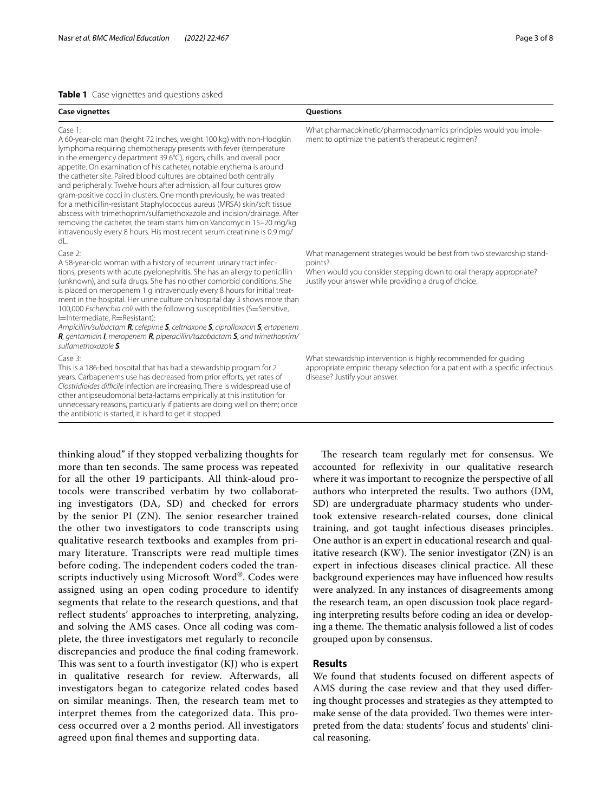# <span id="page-2-0"></span>**Table 1** Case vignettes and questions asked

| <b>Case vignettes</b>                                                                                                                                                                                                                                                                                                                                                                                                                                                                                                                                                                                                                                                                                                                                                                                                                              | Questions                                                                                                                                                                                                      |
|----------------------------------------------------------------------------------------------------------------------------------------------------------------------------------------------------------------------------------------------------------------------------------------------------------------------------------------------------------------------------------------------------------------------------------------------------------------------------------------------------------------------------------------------------------------------------------------------------------------------------------------------------------------------------------------------------------------------------------------------------------------------------------------------------------------------------------------------------|----------------------------------------------------------------------------------------------------------------------------------------------------------------------------------------------------------------|
| Case 1:<br>A 60-year-old man (height 72 inches, weight 100 kg) with non-Hodgkin<br>lymphoma requiring chemotherapy presents with fever (temperature<br>in the emergency department 39.6°C), rigors, chills, and overall poor<br>appetite. On examination of his catheter, notable erythema is around<br>the catheter site. Paired blood cultures are obtained both centrally<br>and peripherally. Twelve hours after admission, all four cultures grow<br>gram-positive cocci in clusters. One month previously, he was treated<br>for a methicillin-resistant Staphylococcus aureus (MRSA) skin/soft tissue<br>abscess with trimethoprim/sulfamethoxazole and incision/drainage. After<br>removing the catheter, the team starts him on Vancomycin 15-20 mg/kg<br>intravenously every 8 hours. His most recent serum creatinine is 0.9 mg/<br>dL. | What pharmacokinetic/pharmacodynamics principles would you imple-<br>ment to optimize the patient's therapeutic regimen?                                                                                       |
| Case 2:<br>A 58-year-old woman with a history of recurrent urinary tract infec-<br>tions, presents with acute pyelonephritis. She has an allergy to penicillin<br>(unknown), and sulfa drugs. She has no other comorbid conditions. She<br>is placed on meropenem 1 g intravenously every 8 hours for initial treat-<br>ment in the hospital. Her urine culture on hospital day 3 shows more than<br>100,000 Escherichia coli with the following susceptibilities (S=Sensitive,<br>I=Intermediate, R=Resistant):<br>Ampicillin/sulbactam R, cefepime S, ceftriaxone S, ciprofloxacin S, ertapenem<br>R, gentamicin I, meropenem R, piperacillin/tazobactam S, and trimethoprim/<br>sulfamethoxazole S.                                                                                                                                             | What management strategies would be best from two stewardship stand-<br>points?<br>When would you consider stepping down to oral therapy appropriate?<br>Justify your answer while providing a drug of choice. |
| Case 3:<br>This is a 186-bed hospital that has had a stewardship program for 2<br>years. Carbapenems use has decreased from prior efforts, yet rates of<br>Clostridioides difficile infection are increasing. There is widespread use of<br>other antipseudomonal beta-lactams empirically at this institution for<br>unnecessary reasons, particularly if patients are doing well on them; once<br>the antibiotic is started, it is hard to get it stopped.                                                                                                                                                                                                                                                                                                                                                                                       | What stewardship intervention is highly recommended for guiding<br>appropriate empiric therapy selection for a patient with a specific infectious<br>disease? Justify your answer.                             |

thinking aloud" if they stopped verbalizing thoughts for more than ten seconds. The same process was repeated for all the other 19 participants. All think-aloud protocols were transcribed verbatim by two collaborating investigators (DA, SD) and checked for errors by the senior PI (ZN). The senior researcher trained the other two investigators to code transcripts using qualitative research textbooks and examples from primary literature. Transcripts were read multiple times before coding. The independent coders coded the transcripts inductively using Microsoft Word®. Codes were assigned using an open coding procedure to identify segments that relate to the research questions, and that reflect students' approaches to interpreting, analyzing, and solving the AMS cases. Once all coding was complete, the three investigators met regularly to reconcile discrepancies and produce the fnal coding framework. This was sent to a fourth investigator  $(KJ)$  who is expert in qualitative research for review. Afterwards, all investigators began to categorize related codes based on similar meanings. Then, the research team met to interpret themes from the categorized data. This process occurred over a 2 months period. All investigators agreed upon fnal themes and supporting data.

The research team regularly met for consensus. We accounted for refexivity in our qualitative research where it was important to recognize the perspective of all authors who interpreted the results. Two authors (DM, SD) are undergraduate pharmacy students who undertook extensive research-related courses, done clinical training, and got taught infectious diseases principles. One author is an expert in educational research and qualitative research (KW). The senior investigator  $(ZN)$  is an expert in infectious diseases clinical practice. All these background experiences may have infuenced how results were analyzed. In any instances of disagreements among the research team, an open discussion took place regarding interpreting results before coding an idea or developing a theme. The thematic analysis followed a list of codes grouped upon by consensus.

# **Results**

We found that students focused on diferent aspects of AMS during the case review and that they used difering thought processes and strategies as they attempted to make sense of the data provided. Two themes were interpreted from the data: students' focus and students' clinical reasoning.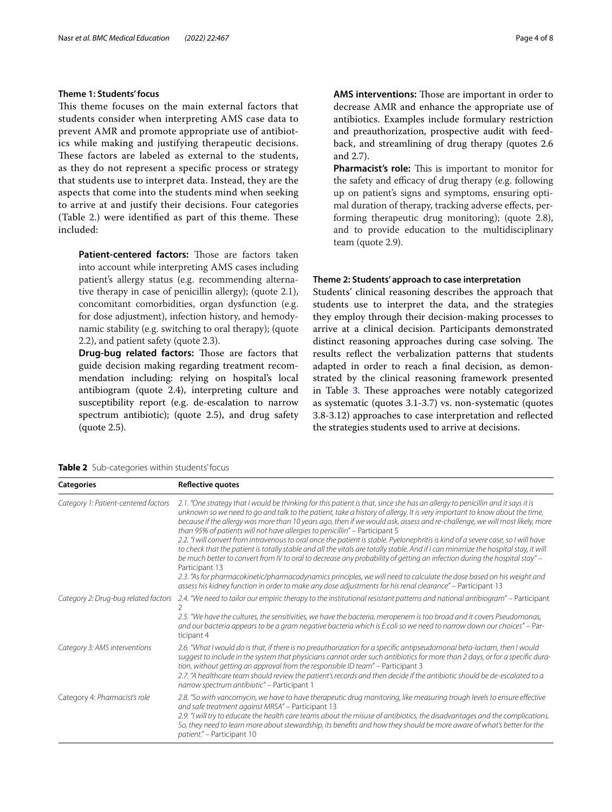# **Theme 1: Students' focus**

This theme focuses on the main external factors that students consider when interpreting AMS case data to prevent AMR and promote appropriate use of antibiotics while making and justifying therapeutic decisions. These factors are labeled as external to the students, as they do not represent a specifc process or strategy that students use to interpret data. Instead, they are the aspects that come into the students mind when seeking to arrive at and justify their decisions. Four categories (Table [2.](#page-3-0)) were identified as part of this theme. These included:

**Patient-centered factors:** Those are factors taken into account while interpreting AMS cases including patient's allergy status (e.g. recommending alternative therapy in case of penicillin allergy); (quote 2.1), concomitant comorbidities, organ dysfunction (e.g. for dose adjustment), infection history, and hemodynamic stability (e.g. switching to oral therapy); (quote 2.2), and patient safety (quote 2.3).

**Drug-bug related factors:** Those are factors that guide decision making regarding treatment recommendation including: relying on hospital's local antibiogram (quote 2.4), interpreting culture and susceptibility report (e.g. de-escalation to narrow spectrum antibiotic); (quote 2.5), and drug safety (quote 2.5).

**AMS interventions:** Those are important in order to decrease AMR and enhance the appropriate use of antibiotics. Examples include formulary restriction and preauthorization, prospective audit with feedback, and streamlining of drug therapy (quotes 2.6 and 2.7).

Pharmacist's role: This is important to monitor for the safety and efficacy of drug therapy (e.g. following up on patient's signs and symptoms, ensuring optimal duration of therapy, tracking adverse efects, performing therapeutic drug monitoring); (quote 2.8), and to provide education to the multidisciplinary team (quote 2.9).

# **Theme 2: Students' approach to case interpretation**

Students' clinical reasoning describes the approach that students use to interpret the data, and the strategies they employ through their decision-making processes to arrive at a clinical decision. Participants demonstrated distinct reasoning approaches during case solving. The results refect the verbalization patterns that students adapted in order to reach a fnal decision, as demonstrated by the clinical reasoning framework presented in Table [3](#page-4-0). These approaches were notably categorized as systematic (quotes 3.1-3.7) vs. non-systematic (quotes 3.8-3.12) approaches to case interpretation and refected the strategies students used to arrive at decisions.

<span id="page-3-0"></span>

| <b>Table 2</b> Sub-categories within students' focus |  |
|------------------------------------------------------|--|
|------------------------------------------------------|--|

**Categories Refective quotes** *Category 1: Patient-centered factors 2.1. "One strategy that I would be thinking for this patient is that, since she has an allergy to penicillin and it says it is unknown so we need to go and talk to the patient, take a history of allergy. It is very important to know about the time, because if the allergy was more than 10 years ago, then if we would ask, assess and re-challenge, we will most likely, more than 95% of patients will not have allergies to penicillin"* – Participant 5 *2.2. "I will convert from intravenous to oral once the patient is stable. Pyelonephritis is kind of a severe case, so I will have*  to check that the patient is totally stable and all the vitals are totally stable. And if I can minimize the hospital stay, it will *be much better to convert from IV to oral to decrease any probability of getting an infection during the hospital stay"* – Participant 13 *2.3. "As for pharmacokinetic/pharmacodynamics principles, we will need to calculate the dose based on his weight and assess his kidney function in order to make any dose adjustments for his renal clearance"* – Participant 13 *Category 2: Drug-bug related factors 2.4. "We need to tailor our empiric therapy to the institutional resistant patterns and national antibiogram"* – Participant 2 *2.5. "We have the cultures, the sensitivities, we have the bacteria, meropenem is too broad and it covers Pseudomonas, and our bacteria appears to be a gram negative bacteria which is E.coli so we need to narrow down our choices"* – Participant 4 *Category 3: AMS interventions 2.6. "What I would do is that, if there is no preauthorization for a specifc antipseudomonal beta-lactam, then I would suggest to include in the system that physicians cannot order such antibiotics for more than 2 days, or for a specifc duration, without getting an approval from the responsible ID team"* – Participant 3 *2.7. "A healthcare team should review the patient's records and then decide if the antibiotic should be de-escalated to a narrow spectrum antibiotic"* – Participant 1 Category 4: *Pharmacist's role 2.8. "So with vancomycin, we have to have therapeutic drug monitoring, like measuring trough levels to ensure efective and safe treatment against MRSA"* – Participant 13 *2.9. "I will try to educate the health care teams about the misuse of antibiotics, the disadvantages and the complications. So, they need to learn more about stewardship, its benefts and how they should be more aware of what's better for the patient."* – Participant 10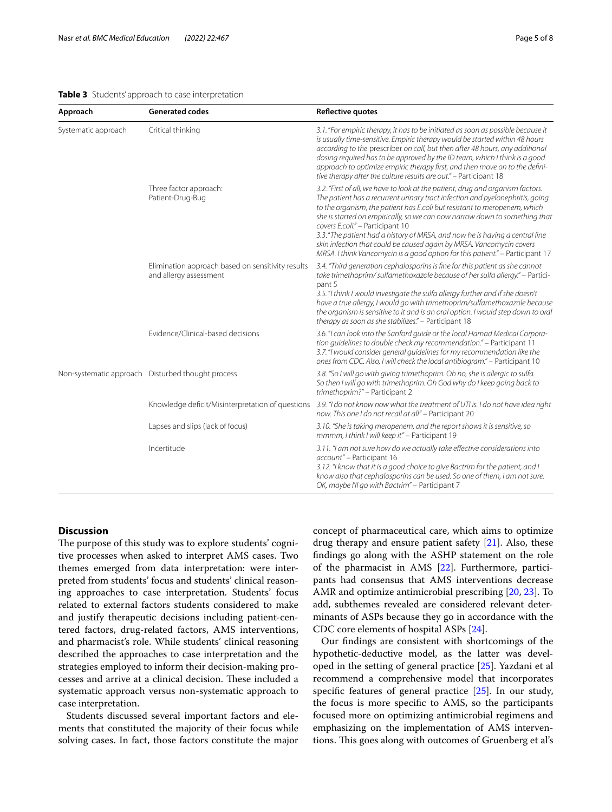### <span id="page-4-0"></span>**Table 3** Students' approach to case interpretation

| Approach            | <b>Generated codes</b>                                                      | <b>Reflective quotes</b>                                                                                                                                                                                                                                                                                                                                                                                                                                                                                                                                                                                |
|---------------------|-----------------------------------------------------------------------------|---------------------------------------------------------------------------------------------------------------------------------------------------------------------------------------------------------------------------------------------------------------------------------------------------------------------------------------------------------------------------------------------------------------------------------------------------------------------------------------------------------------------------------------------------------------------------------------------------------|
| Systematic approach | Critical thinking                                                           | 3.1. "For empiric therapy, it has to be initiated as soon as possible because it<br>is usually time-sensitive. Empiric therapy would be started within 48 hours<br>according to the prescriber on call, but then after 48 hours, any additional<br>dosing required has to be approved by the ID team, which I think is a good<br>approach to optimize empiric therapy first, and then move on to the defini-<br>tive therapy after the culture results are out." - Participant 18                                                                                                                       |
|                     | Three factor approach:<br>Patient-Drug-Bug                                  | 3.2. "First of all, we have to look at the patient, drug and organism factors.<br>The patient has a recurrent urinary tract infection and pyelonephritis, going<br>to the organism, the patient has E.coli but resistant to meropenem, which<br>she is started on empirically, so we can now narrow down to something that<br>covers E.coli." - Participant 10<br>3.3. "The patient had a history of MRSA, and now he is having a central line<br>skin infection that could be caused again by MRSA. Vancomycin covers<br>MRSA. I think Vancomycin is a good option for this patient." - Participant 17 |
|                     | Elimination approach based on sensitivity results<br>and allergy assessment | 3.4. "Third generation cephalosporins is fine for this patient as she cannot<br>take trimethoprim/sulfamethoxazole because of her sulfa allergy." - Partici-<br>pant 5<br>3.5. "I think I would investigate the sulfa allergy further and if she doesn't<br>have a true allergy, I would go with trimethoprim/sulfamethoxazole because<br>the organism is sensitive to it and is an oral option. I would step down to oral<br>therapy as soon as she stabilizes." - Participant 18                                                                                                                      |
|                     | Evidence/Clinical-based decisions                                           | 3.6. "I can look into the Sanford guide or the local Hamad Medical Corpora-<br>tion guidelines to double check my recommendation." - Participant 11<br>3.7. "I would consider general guidelines for my recommendation like the<br>ones from CDC. Also, I will check the local antibiogram." - Participant 10                                                                                                                                                                                                                                                                                           |
|                     | Non-systematic approach Disturbed thought process                           | 3.8. "So I will go with giving trimethoprim. Oh no, she is allergic to sulfa.<br>So then I will go with trimethoprim. Oh God why do I keep going back to<br>trimethoprim?" - Participant 2                                                                                                                                                                                                                                                                                                                                                                                                              |
|                     | Knowledge deficit/Misinterpretation of questions                            | 3.9. "I do not know now what the treatment of UTI is. I do not have idea right<br>now. This one I do not recall at all" - Participant 20                                                                                                                                                                                                                                                                                                                                                                                                                                                                |
|                     | Lapses and slips (lack of focus)                                            | 3.10. "She is taking meropenem, and the report shows it is sensitive, so<br>mmmm, I think I will keep it" - Participant 19                                                                                                                                                                                                                                                                                                                                                                                                                                                                              |
|                     | Incertitude                                                                 | 3.11. "I am not sure how do we actually take effective considerations into<br>account" - Participant 16<br>3.12. "I know that it is a good choice to give Bactrim for the patient, and I<br>know also that cephalosporins can be used. So one of them, I am not sure.<br>OK, maybe I'll go with Bactrim" - Participant 7                                                                                                                                                                                                                                                                                |

# **Discussion**

The purpose of this study was to explore students' cognitive processes when asked to interpret AMS cases. Two themes emerged from data interpretation: were interpreted from students' focus and students' clinical reasoning approaches to case interpretation. Students' focus related to external factors students considered to make and justify therapeutic decisions including patient-centered factors, drug-related factors, AMS interventions, and pharmacist's role. While students' clinical reasoning described the approaches to case interpretation and the strategies employed to inform their decision-making processes and arrive at a clinical decision. These included a systematic approach versus non-systematic approach to case interpretation.

Students discussed several important factors and elements that constituted the majority of their focus while solving cases. In fact, those factors constitute the major concept of pharmaceutical care, which aims to optimize drug therapy and ensure patient safety [[21\]](#page-7-3). Also, these fndings go along with the ASHP statement on the role of the pharmacist in AMS [[22](#page-7-4)]. Furthermore, participants had consensus that AMS interventions decrease AMR and optimize antimicrobial prescribing [\[20](#page-7-2), [23\]](#page-7-5). To add, subthemes revealed are considered relevant determinants of ASPs because they go in accordance with the CDC core elements of hospital ASPs [\[24\]](#page-7-6).

Our fndings are consistent with shortcomings of the hypothetic-deductive model, as the latter was developed in the setting of general practice [[25\]](#page-7-7). Yazdani et al recommend a comprehensive model that incorporates specifc features of general practice [\[25](#page-7-7)]. In our study, the focus is more specifc to AMS, so the participants focused more on optimizing antimicrobial regimens and emphasizing on the implementation of AMS interventions. This goes along with outcomes of Gruenberg et al's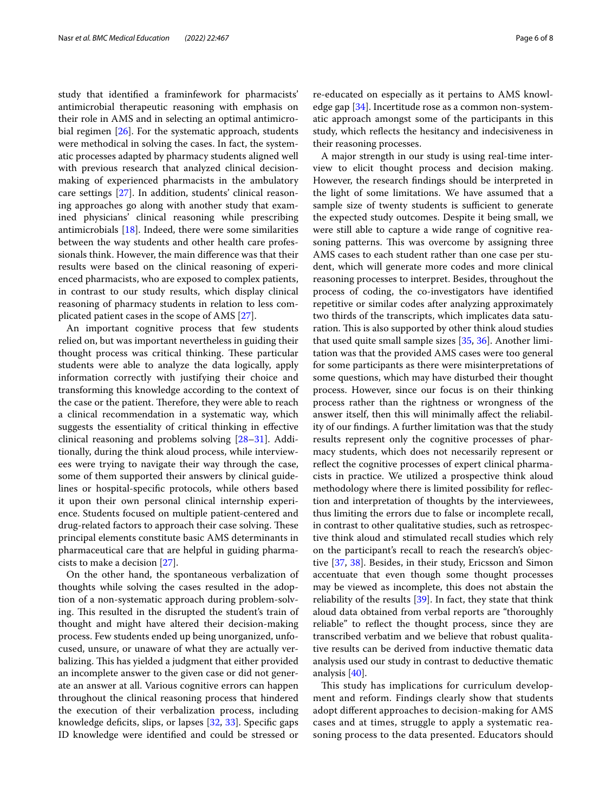study that identifed a framinfework for pharmacists' antimicrobial therapeutic reasoning with emphasis on their role in AMS and in selecting an optimal antimicrobial regimen [[26\]](#page-7-8). For the systematic approach, students were methodical in solving the cases. In fact, the systematic processes adapted by pharmacy students aligned well with previous research that analyzed clinical decisionmaking of experienced pharmacists in the ambulatory care settings [[27](#page-7-9)]. In addition, students' clinical reasoning approaches go along with another study that examined physicians' clinical reasoning while prescribing antimicrobials  $[18]$  $[18]$  $[18]$ . Indeed, there were some similarities between the way students and other health care professionals think. However, the main diference was that their results were based on the clinical reasoning of experienced pharmacists, who are exposed to complex patients, in contrast to our study results, which display clinical reasoning of pharmacy students in relation to less complicated patient cases in the scope of AMS [[27](#page-7-9)].

An important cognitive process that few students relied on, but was important nevertheless in guiding their thought process was critical thinking. These particular students were able to analyze the data logically, apply information correctly with justifying their choice and transforming this knowledge according to the context of the case or the patient. Therefore, they were able to reach a clinical recommendation in a systematic way, which suggests the essentiality of critical thinking in efective clinical reasoning and problems solving [[28–](#page-7-10)[31](#page-7-11)]. Additionally, during the think aloud process, while interviewees were trying to navigate their way through the case, some of them supported their answers by clinical guidelines or hospital-specifc protocols, while others based it upon their own personal clinical internship experience. Students focused on multiple patient-centered and drug-related factors to approach their case solving. These principal elements constitute basic AMS determinants in pharmaceutical care that are helpful in guiding pharmacists to make a decision [\[27](#page-7-9)].

On the other hand, the spontaneous verbalization of thoughts while solving the cases resulted in the adoption of a non-systematic approach during problem-solving. This resulted in the disrupted the student's train of thought and might have altered their decision-making process. Few students ended up being unorganized, unfocused, unsure, or unaware of what they are actually verbalizing. This has yielded a judgment that either provided an incomplete answer to the given case or did not generate an answer at all. Various cognitive errors can happen throughout the clinical reasoning process that hindered the execution of their verbalization process, including knowledge defcits, slips, or lapses [\[32](#page-7-12), [33](#page-7-13)]. Specifc gaps ID knowledge were identifed and could be stressed or

re-educated on especially as it pertains to AMS knowledge gap [[34\]](#page-7-14). Incertitude rose as a common non-systematic approach amongst some of the participants in this study, which refects the hesitancy and indecisiveness in their reasoning processes.

A major strength in our study is using real-time interview to elicit thought process and decision making. However, the research fndings should be interpreted in the light of some limitations. We have assumed that a sample size of twenty students is sufficient to generate the expected study outcomes. Despite it being small, we were still able to capture a wide range of cognitive reasoning patterns. This was overcome by assigning three AMS cases to each student rather than one case per student, which will generate more codes and more clinical reasoning processes to interpret. Besides, throughout the process of coding, the co-investigators have identifed repetitive or similar codes after analyzing approximately two thirds of the transcripts, which implicates data saturation. This is also supported by other think aloud studies that used quite small sample sizes [\[35](#page-7-15), [36\]](#page-7-16). Another limitation was that the provided AMS cases were too general for some participants as there were misinterpretations of some questions, which may have disturbed their thought process. However, since our focus is on their thinking process rather than the rightness or wrongness of the answer itself, then this will minimally afect the reliability of our fndings. A further limitation was that the study results represent only the cognitive processes of pharmacy students, which does not necessarily represent or reflect the cognitive processes of expert clinical pharmacists in practice. We utilized a prospective think aloud methodology where there is limited possibility for refection and interpretation of thoughts by the interviewees, thus limiting the errors due to false or incomplete recall, in contrast to other qualitative studies, such as retrospective think aloud and stimulated recall studies which rely on the participant's recall to reach the research's objective [[37,](#page-7-17) [38\]](#page-7-18). Besides, in their study, Ericsson and Simon accentuate that even though some thought processes may be viewed as incomplete, this does not abstain the reliability of the results [[39](#page-7-19)]. In fact, they state that think aloud data obtained from verbal reports are "thoroughly reliable" to refect the thought process, since they are transcribed verbatim and we believe that robust qualitative results can be derived from inductive thematic data analysis used our study in contrast to deductive thematic analysis [[40\]](#page-7-20).

This study has implications for curriculum development and reform. Findings clearly show that students adopt diferent approaches to decision-making for AMS cases and at times, struggle to apply a systematic reasoning process to the data presented. Educators should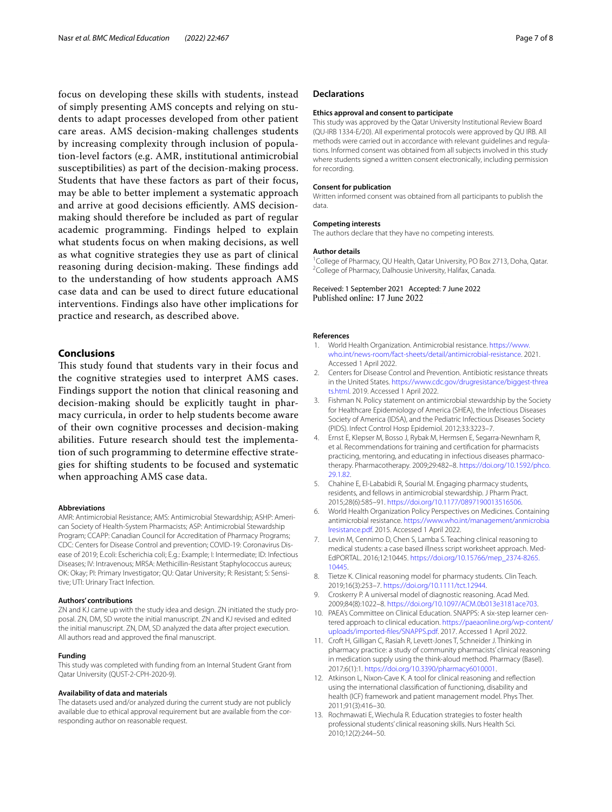focus on developing these skills with students, instead of simply presenting AMS concepts and relying on students to adapt processes developed from other patient care areas. AMS decision-making challenges students by increasing complexity through inclusion of population-level factors (e.g. AMR, institutional antimicrobial susceptibilities) as part of the decision-making process. Students that have these factors as part of their focus, may be able to better implement a systematic approach and arrive at good decisions efficiently. AMS decisionmaking should therefore be included as part of regular academic programming. Findings helped to explain what students focus on when making decisions, as well as what cognitive strategies they use as part of clinical reasoning during decision-making. These findings add to the understanding of how students approach AMS case data and can be used to direct future educational interventions. Findings also have other implications for practice and research, as described above.

# **Conclusions**

This study found that students vary in their focus and the cognitive strategies used to interpret AMS cases. Findings support the notion that clinical reasoning and decision-making should be explicitly taught in pharmacy curricula, in order to help students become aware of their own cognitive processes and decision-making abilities. Future research should test the implementation of such programming to determine efective strategies for shifting students to be focused and systematic when approaching AMS case data.

#### **Abbreviations**

AMR: Antimicrobial Resistance; AMS: Antimicrobial Stewardship; ASHP: American Society of Health-System Pharmacists; ASP: Antimicrobial Stewardship Program; CCAPP: Canadian Council for Accreditation of Pharmacy Programs; CDC: Centers for Disease Control and prevention; COVID-19: Coronavirus Disease of 2019; E.coli: Escherichia coli; E.g.: Example; I: Intermediate; ID: Infectious Diseases; IV: Intravenous; MRSA: Methicillin-Resistant Staphylococcus aureus; OK: Okay; PI: Primary Investigator; QU: Qatar University; R: Resistant; S: Sensitive; UTI: Urinary Tract Infection.

#### **Authors' contributions**

ZN and KJ came up with the study idea and design. ZN initiated the study proposal. ZN, DM, SD wrote the initial manuscript. ZN and KJ revised and edited the initial manuscript. ZN, DM, SD analyzed the data after project execution. All authors read and approved the fnal manuscript.

#### **Funding**

This study was completed with funding from an Internal Student Grant from Qatar University (QUST-2-CPH-2020-9).

## **Availability of data and materials**

The datasets used and/or analyzed during the current study are not publicly available due to ethical approval requirement but are available from the corresponding author on reasonable request.

### **Declarations**

#### **Ethics approval and consent to participate**

This study was approved by the Qatar University Institutional Review Board (QU-IRB 1334-E/20). All experimental protocols were approved by QU IRB. All methods were carried out in accordance with relevant guidelines and regulations. Informed consent was obtained from all subjects involved in this study where students signed a written consent electronically, including permission for recording.

#### **Consent for publication**

Written informed consent was obtained from all participants to publish the data.

#### **Competing interests**

The authors declare that they have no competing interests.

#### **Author details**

<sup>1</sup> College of Pharmacy, QU Health, Qatar University, PO Box 2713, Doha, Qatar.<br><sup>2</sup> College of Pharmacy, Dalbousia University, Halifax, Canada. <sup>2</sup> College of Pharmacy, Dalhousie University, Halifax, Canada.

Received: 1 September 2021 Accepted: 7 June 2022 Published online: 17 June 2022

## **References**

- <span id="page-6-0"></span>1. World Health Organization. Antimicrobial resistance. [https://www.](https://www.who.int/news-room/fact-sheets/detail/antimicrobial-resistance) [who.int/news-room/fact-sheets/detail/antimicrobial-resistance](https://www.who.int/news-room/fact-sheets/detail/antimicrobial-resistance). 2021. Accessed 1 April 2022.
- <span id="page-6-1"></span>2. Centers for Disease Control and Prevention. Antibiotic resistance threats in the United States. [https://www.cdc.gov/drugresistance/biggest-threa](https://www.cdc.gov/drugresistance/biggest-threats.html) [ts.html](https://www.cdc.gov/drugresistance/biggest-threats.html). 2019. Accessed 1 April 2022.
- <span id="page-6-2"></span>3. Fishman N. Policy statement on antimicrobial stewardship by the Society for Healthcare Epidemiology of America (SHEA), the Infectious Diseases Society of America (IDSA), and the Pediatric Infectious Diseases Society (PIDS). Infect Control Hosp Epidemiol. 2012;33:3223–7.
- <span id="page-6-3"></span>4. Ernst E, Klepser M, Bosso J, Rybak M, Hermsen E, Segarra-Newnham R, et al. Recommendations for training and certifcation for pharmacists practicing, mentoring, and educating in infectious diseases pharmacotherapy. Pharmacotherapy. 2009;29:482–8. [https://doi.org/10.1592/phco.](https://doi.org/10.1592/phco.29.1.82) [29.1.82.](https://doi.org/10.1592/phco.29.1.82)
- <span id="page-6-4"></span>5. Chahine E, El-Lababidi R, Sourial M. Engaging pharmacy students, residents, and fellows in antimicrobial stewardship. J Pharm Pract. 2015;28(6):585–91. <https://doi.org/10.1177/0897190013516506>.
- <span id="page-6-5"></span>6. World Health Organization Policy Perspectives on Medicines. Containing antimicrobial resistance. [https://www.who.int/management/anmicrobia](https://www.who.int/management/anmicrobialresistance.pdf) [lresistance.pdf](https://www.who.int/management/anmicrobialresistance.pdf). 2015. Accessed 1 April 2022.
- <span id="page-6-6"></span>7. Levin M, Cennimo D, Chen S, Lamba S. Teaching clinical reasoning to medical students: a case based illness script worksheet approach. Med-EdPORTAL. 2016;12:10445. [https://doi.org/10.15766/mep\\_2374-8265.](https://doi.org/10.15766/mep_2374-8265.10445) [10445](https://doi.org/10.15766/mep_2374-8265.10445).
- <span id="page-6-7"></span>8. Tietze K. Clinical reasoning model for pharmacy students. Clin Teach. 2019;16(3):253–7. [https://doi.org/10.1111/tct.12944.](https://doi.org/10.1111/tct.12944)
- <span id="page-6-8"></span>9. Croskerry P. A universal model of diagnostic reasoning. Acad Med. 2009;84(8):1022–8. [https://doi.org/10.1097/ACM.0b013e3181ace703.](https://doi.org/10.1097/ACM.0b013e3181ace703)
- 10. PAEA's Committee on Clinical Education. SNAPPS: A six-step learner centered approach to clinical education. [https://paeaonline.org/wp-content/](https://paeaonline.org/wp-content/uploads/imported-files/SNAPPS.pdf) [uploads/imported-fles/SNAPPS.pdf](https://paeaonline.org/wp-content/uploads/imported-files/SNAPPS.pdf). 2017. Accessed 1 April 2022.
- <span id="page-6-9"></span>11. Croft H, Gilligan C, Rasiah R, Levett-Jones T, Schneider J. Thinking in pharmacy practice: a study of community pharmacists' clinical reasoning in medication supply using the think-aloud method. Pharmacy (Basel). 2017;6(1):1. [https://doi.org/10.3390/pharmacy6010001.](https://doi.org/10.3390/pharmacy6010001)
- <span id="page-6-10"></span>12. Atkinson L, Nixon-Cave K. A tool for clinical reasoning and refection using the international classifcation of functioning, disability and health (ICF) framework and patient management model. Phys Ther. 2011;91(3):416–30.
- <span id="page-6-11"></span>13. Rochmawati E, Wiechula R. Education strategies to foster health professional students' clinical reasoning skills. Nurs Health Sci. 2010;12(2):244–50.